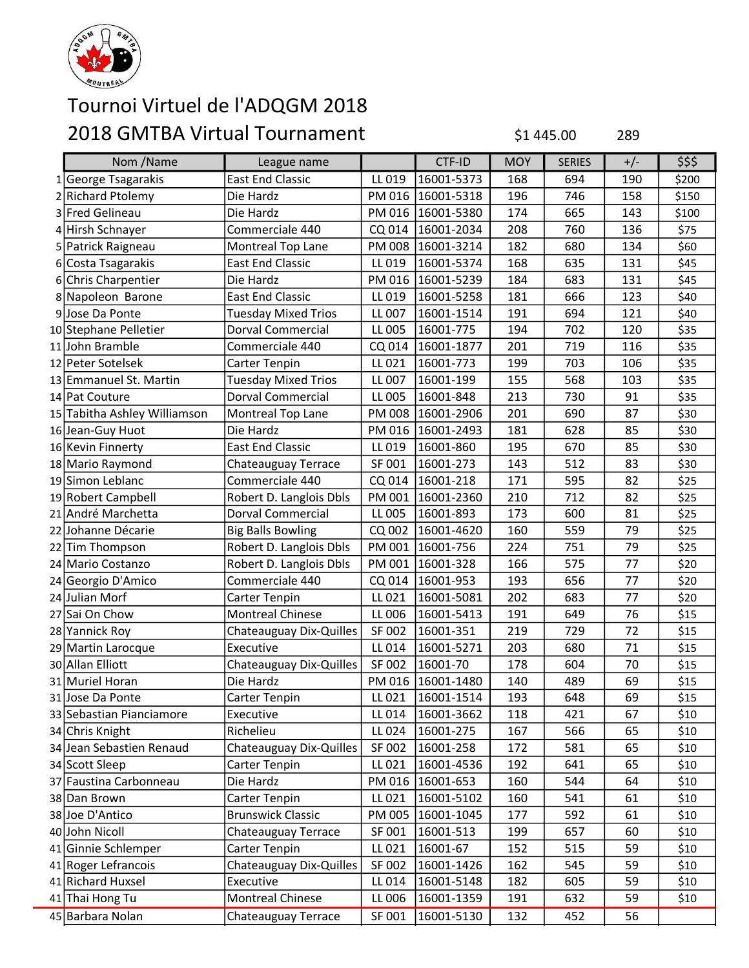

| Nom /Name                    | League name                |        | CTF-ID     | <b>MOY</b> | <b>SERIES</b> | $+/-$ | \$\$\$ |
|------------------------------|----------------------------|--------|------------|------------|---------------|-------|--------|
| 1 George Tsagarakis          | <b>East End Classic</b>    | LL 019 | 16001-5373 | 168        | 694           | 190   | \$200  |
| 2 Richard Ptolemy            | Die Hardz                  | PM 016 | 16001-5318 | 196        | 746           | 158   | \$150  |
| 3 Fred Gelineau              | Die Hardz                  | PM 016 | 16001-5380 | 174        | 665           | 143   | \$100  |
| 4 Hirsh Schnayer             | Commerciale 440            | CQ 014 | 16001-2034 | 208        | 760           | 136   | \$75   |
| 5 Patrick Raigneau           | Montreal Top Lane          | PM 008 | 16001-3214 | 182        | 680           | 134   | \$60   |
| 6 Costa Tsagarakis           | <b>East End Classic</b>    | LL 019 | 16001-5374 | 168        | 635           | 131   | \$45   |
| 6 Chris Charpentier          | Die Hardz                  | PM 016 | 16001-5239 | 184        | 683           | 131   | \$45   |
| 8 Napoleon Barone            | <b>East End Classic</b>    | LL 019 | 16001-5258 | 181        | 666           | 123   | \$40   |
| 9 Jose Da Ponte              | <b>Tuesday Mixed Trios</b> | LL 007 | 16001-1514 | 191        | 694           | 121   | \$40   |
| 10 Stephane Pelletier        | Dorval Commercial          | LL 005 | 16001-775  | 194        | 702           | 120   | \$35   |
| 11 John Bramble              | Commerciale 440            | CQ 014 | 16001-1877 | 201        | 719           | 116   | \$35   |
| 12 Peter Sotelsek            | Carter Tenpin              | LL 021 | 16001-773  | 199        | 703           | 106   | \$35   |
| 13 Emmanuel St. Martin       | <b>Tuesday Mixed Trios</b> | LL 007 | 16001-199  | 155        | 568           | 103   | \$35   |
| 14 Pat Couture               | Dorval Commercial          | LL 005 | 16001-848  | 213        | 730           | 91    | \$35   |
| 15 Tabitha Ashley Williamson | Montreal Top Lane          | PM 008 | 16001-2906 | 201        | 690           | 87    | \$30   |
| 16 Jean-Guy Huot             | Die Hardz                  | PM 016 | 16001-2493 | 181        | 628           | 85    | \$30   |
| 16 Kevin Finnerty            | <b>East End Classic</b>    | LL 019 | 16001-860  | 195        | 670           | 85    | \$30   |
| 18 Mario Raymond             | Chateauguay Terrace        | SF 001 | 16001-273  | 143        | 512           | 83    | \$30   |
| 19 Simon Leblanc             | Commerciale 440            | CQ 014 | 16001-218  | 171        | 595           | 82    | \$25   |
| 19 Robert Campbell           | Robert D. Langlois Dbls    | PM 001 | 16001-2360 | 210        | 712           | 82    | \$25   |
| 21 André Marchetta           | <b>Dorval Commercial</b>   | LL 005 | 16001-893  | 173        | 600           | 81    | \$25   |
| 22 Johanne Décarie           | <b>Big Balls Bowling</b>   | CQ 002 | 16001-4620 | 160        | 559           | 79    | \$25   |
| 22 Tim Thompson              | Robert D. Langlois Dbls    | PM 001 | 16001-756  | 224        | 751           | 79    | \$25   |
| 24 Mario Costanzo            | Robert D. Langlois Dbls    | PM 001 | 16001-328  | 166        | 575           | 77    | \$20   |
| 24 Georgio D'Amico           | Commerciale 440            | CQ 014 | 16001-953  | 193        | 656           | 77    | \$20   |
| 24 Julian Morf               | Carter Tenpin              | LL 021 | 16001-5081 | 202        | 683           | 77    | \$20   |
| 27 Sai On Chow               | <b>Montreal Chinese</b>    | LL 006 | 16001-5413 | 191        | 649           | 76    | \$15   |
| 28 Yannick Roy               | Chateauguay Dix-Quilles    | SF 002 | 16001-351  | 219        | 729           | 72    | \$15   |
| 29 Martin Larocque           | Executive                  | LL 014 | 16001-5271 | 203        | 680           | 71    | \$15   |
| 30 Allan Elliott             | Chateauguay Dix-Quilles    | SF 002 | 16001-70   | 178        | 604           | 70    | \$15   |
| 31 Muriel Horan              | Die Hardz                  | PM 016 | 16001-1480 | 140        | 489           | 69    | \$15   |
| 31 Jose Da Ponte             | Carter Tenpin              | LL 021 | 16001-1514 | 193        | 648           | 69    | $$15$  |
| 33 Sebastian Pianciamore     | Executive                  | LL 014 | 16001-3662 | 118        | 421           | 67    | \$10   |
| 34 Chris Knight              | Richelieu                  | LL 024 | 16001-275  | 167        | 566           | 65    | \$10   |
| 34 Jean Sebastien Renaud     | Chateauguay Dix-Quilles    | SF 002 | 16001-258  | 172        | 581           | 65    | \$10   |
| 34 Scott Sleep               | Carter Tenpin              | LL 021 | 16001-4536 | 192        | 641           | 65    | \$10   |
| 37 Faustina Carbonneau       | Die Hardz                  | PM 016 | 16001-653  | 160        | 544           | 64    | \$10   |
| 38 Dan Brown                 | Carter Tenpin              | LL 021 | 16001-5102 | 160        | 541           | 61    | \$10   |
| 38 Joe D'Antico              | <b>Brunswick Classic</b>   | PM 005 | 16001-1045 | 177        | 592           | 61    | \$10   |
| 40 John Nicoll               | Chateauguay Terrace        | SF 001 | 16001-513  | 199        | 657           | 60    | \$10   |
| 41 Ginnie Schlemper          | Carter Tenpin              | LL 021 | 16001-67   | 152        | 515           | 59    | \$10   |
| 41 Roger Lefrancois          | Chateauguay Dix-Quilles    | SF 002 | 16001-1426 | 162        | 545           | 59    | \$10   |
| 41 Richard Huxsel            | Executive                  | LL 014 | 16001-5148 | 182        | 605           | 59    | \$10   |
| 41 Thai Hong Tu              | <b>Montreal Chinese</b>    | LL 006 | 16001-1359 | 191        | 632           | 59    | \$10   |
| 45 Barbara Nolan             | Chateauguay Terrace        | SF 001 | 16001-5130 | 132        | 452           | 56    |        |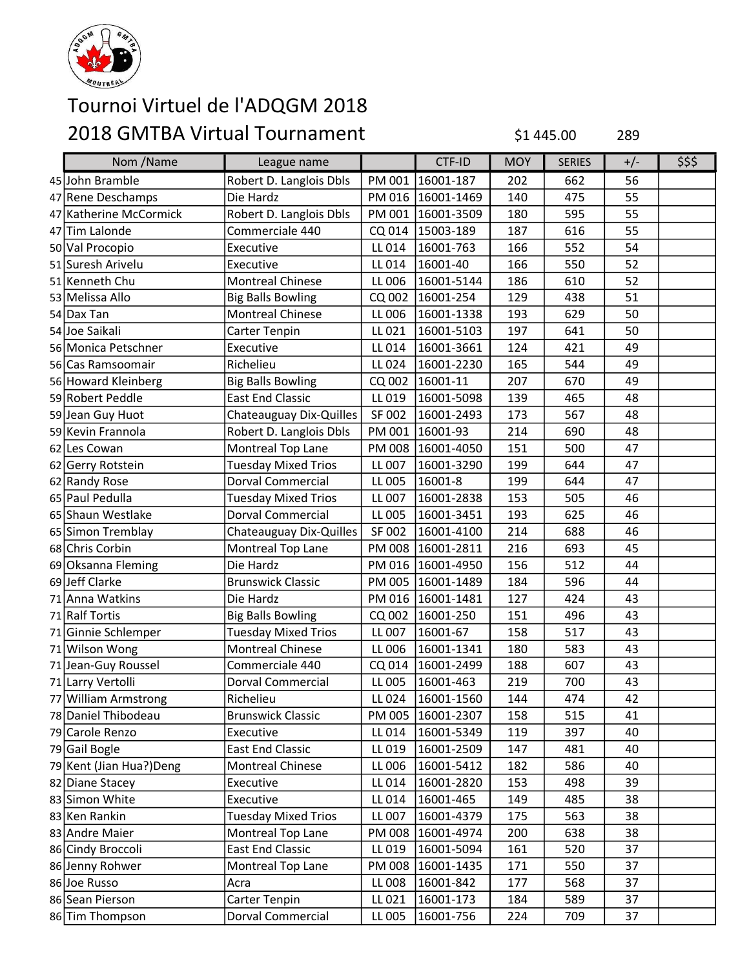

| Nom /Name                | League name                |        | CTF-ID              | <b>MOY</b> | <b>SERIES</b> | $+/-$ | \$\$\$ |
|--------------------------|----------------------------|--------|---------------------|------------|---------------|-------|--------|
| 45 John Bramble          | Robert D. Langlois Dbls    | PM 001 | 16001-187           | 202        | 662           | 56    |        |
| 47 Rene Deschamps        | Die Hardz                  | PM 016 | 16001-1469          | 140        | 475           | 55    |        |
| 47 Katherine McCormick   | Robert D. Langlois Dbls    | PM 001 | 16001-3509          | 180        | 595           | 55    |        |
| 47 Tim Lalonde           | Commerciale 440            | CQ 014 | 15003-189           | 187        | 616           | 55    |        |
| 50 Val Procopio          | Executive                  | LL 014 | 16001-763           | 166        | 552           | 54    |        |
| 51 Suresh Arivelu        | Executive                  | LL 014 | 16001-40            | 166        | 550           | 52    |        |
| 51 Kenneth Chu           | <b>Montreal Chinese</b>    | LL 006 | 16001-5144          | 186        | 610           | 52    |        |
| 53 Melissa Allo          | <b>Big Balls Bowling</b>   | CQ 002 | 16001-254           | 129        | 438           | 51    |        |
| 54 Dax Tan               | <b>Montreal Chinese</b>    | LL 006 | 16001-1338          | 193        | 629           | 50    |        |
| 54 Joe Saikali           | Carter Tenpin              | LL 021 | 16001-5103          | 197        | 641           | 50    |        |
| 56 Monica Petschner      | Executive                  | LL 014 | 16001-3661          | 124        | 421           | 49    |        |
| 56 Cas Ramsoomair        | Richelieu                  | LL 024 | 16001-2230          | 165        | 544           | 49    |        |
| 56 Howard Kleinberg      | <b>Big Balls Bowling</b>   | CQ 002 | 16001-11            | 207        | 670           | 49    |        |
| 59 Robert Peddle         | <b>East End Classic</b>    | LL 019 | 16001-5098          | 139        | 465           | 48    |        |
| 59 Jean Guy Huot         | Chateauguay Dix-Quilles    | SF 002 | 16001-2493          | 173        | 567           | 48    |        |
| 59 Kevin Frannola        | Robert D. Langlois Dbls    | PM 001 | 16001-93            | 214        | 690           | 48    |        |
| 62 Les Cowan             | Montreal Top Lane          | PM 008 | 16001-4050          | 151        | 500           | 47    |        |
| 62 Gerry Rotstein        | <b>Tuesday Mixed Trios</b> | LL 007 | 16001-3290          | 199        | 644           | 47    |        |
| 62 Randy Rose            | <b>Dorval Commercial</b>   | LL 005 | 16001-8             | 199        | 644           | 47    |        |
| 65 Paul Pedulla          | <b>Tuesday Mixed Trios</b> | LL 007 | 16001-2838          | 153        | 505           | 46    |        |
| 65 Shaun Westlake        | <b>Dorval Commercial</b>   | LL 005 | 16001-3451          | 193        | 625           | 46    |        |
| 65 Simon Tremblay        | Chateauguay Dix-Quilles    | SF 002 | 16001-4100          | 214        | 688           | 46    |        |
| 68 Chris Corbin          | Montreal Top Lane          | PM 008 | 16001-2811          | 216        | 693           | 45    |        |
| 69 Oksanna Fleming       | Die Hardz                  | PM 016 | 16001-4950          | 156        | 512           | 44    |        |
| 69 Jeff Clarke           | <b>Brunswick Classic</b>   | PM 005 | 16001-1489          | 184        | 596           | 44    |        |
| 71 Anna Watkins          | Die Hardz                  |        | PM 016   16001-1481 | 127        | 424           | 43    |        |
| 71 Ralf Tortis           | <b>Big Balls Bowling</b>   | CQ 002 | 16001-250           | 151        | 496           | 43    |        |
| 71 Ginnie Schlemper      | <b>Tuesday Mixed Trios</b> | LL 007 | 16001-67            | 158        | 517           | 43    |        |
| 71 Wilson Wong           | <b>Montreal Chinese</b>    | LL 006 | 16001-1341          | 180        | 583           | 43    |        |
| 71 Jean-Guy Roussel      | Commerciale 440            | CQ 014 | 16001-2499          | 188        | 607           | 43    |        |
| 71 Larry Vertolli        | <b>Dorval Commercial</b>   | LL 005 | 16001-463           | 219        | 700           | 43    |        |
| 77 William Armstrong     | Richelieu                  | LL 024 | 16001-1560          | 144        | 474           | 42    |        |
| 78 Daniel Thibodeau      | <b>Brunswick Classic</b>   |        | PM 005 16001-2307   | 158        | 515           | 41    |        |
| 79 Carole Renzo          | Executive                  | LL 014 | 16001-5349          | 119        | 397           | 40    |        |
| 79 Gail Bogle            | <b>East End Classic</b>    | LL 019 | 16001-2509          | 147        | 481           | 40    |        |
| 79 Kent (Jian Hua?) Deng | <b>Montreal Chinese</b>    | LL 006 | 16001-5412          | 182        | 586           | 40    |        |
| 82 Diane Stacey          | Executive                  | LL 014 | 16001-2820          | 153        | 498           | 39    |        |
| 83 Simon White           | Executive                  | LL 014 | 16001-465           | 149        | 485           | 38    |        |
| 83 Ken Rankin            | <b>Tuesday Mixed Trios</b> | LL 007 | 16001-4379          | 175        | 563           | 38    |        |
| 83 Andre Maier           | Montreal Top Lane          | PM 008 | 16001-4974          | 200        | 638           | 38    |        |
| 86 Cindy Broccoli        | <b>East End Classic</b>    | LL 019 | 16001-5094          | 161        | 520           | 37    |        |
| 86 Jenny Rohwer          | Montreal Top Lane          | PM 008 | 16001-1435          | 171        | 550           | 37    |        |
| 86 Joe Russo             | Acra                       | LL 008 | 16001-842           | 177        | 568           | 37    |        |
| 86 Sean Pierson          | Carter Tenpin              | LL 021 | 16001-173           | 184        | 589           | 37    |        |
| 86 Tim Thompson          | Dorval Commercial          | LL 005 | 16001-756           | 224        | 709           | 37    |        |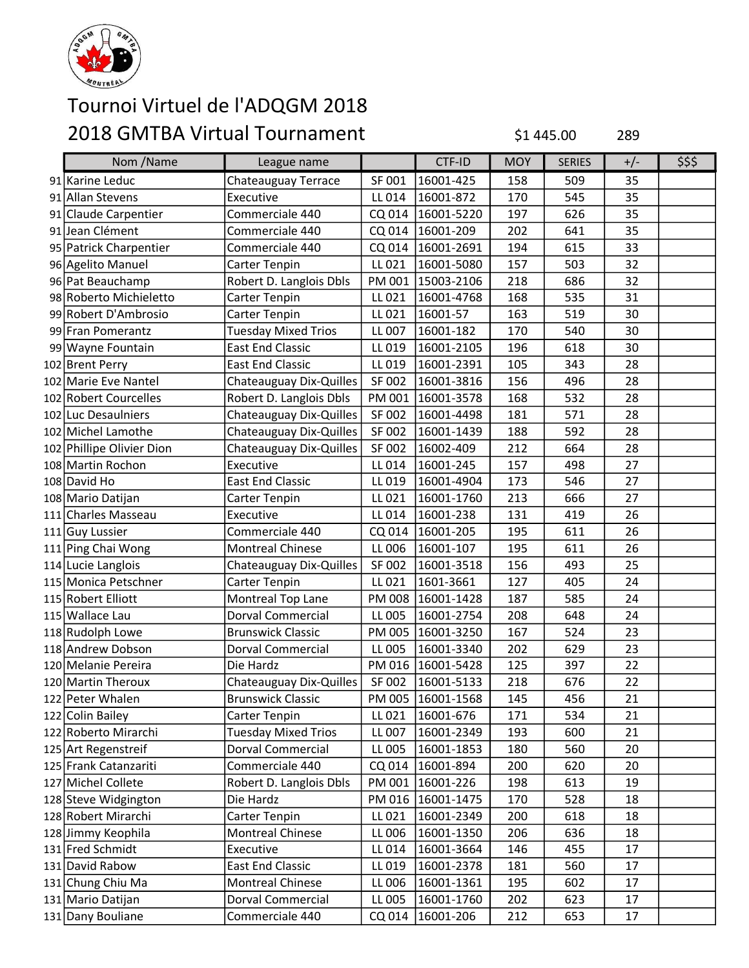

| Nom /Name                 | League name                |        | CTF-ID              | <b>MOY</b> | <b>SERIES</b> | $+/-$ | \$\$\$ |
|---------------------------|----------------------------|--------|---------------------|------------|---------------|-------|--------|
| 91 Karine Leduc           | Chateauguay Terrace        | SF 001 | 16001-425           | 158        | 509           | 35    |        |
| 91 Allan Stevens          | Executive                  | LL 014 | 16001-872           | 170        | 545           | 35    |        |
| 91 Claude Carpentier      | Commerciale 440            | CQ 014 | 16001-5220          | 197        | 626           | 35    |        |
| 91 Jean Clément           | Commerciale 440            | CQ 014 | 16001-209           | 202        | 641           | 35    |        |
| 95 Patrick Charpentier    | Commerciale 440            |        | CQ 014   16001-2691 | 194        | 615           | 33    |        |
| 96 Agelito Manuel         | Carter Tenpin              | LL 021 | 16001-5080          | 157        | 503           | 32    |        |
| 96 Pat Beauchamp          | Robert D. Langlois Dbls    |        | PM 001 15003-2106   | 218        | 686           | 32    |        |
| 98 Roberto Michieletto    | Carter Tenpin              | LL 021 | 16001-4768          | 168        | 535           | 31    |        |
| 99 Robert D'Ambrosio      | Carter Tenpin              | LL 021 | 16001-57            | 163        | 519           | 30    |        |
| 99 Fran Pomerantz         | <b>Tuesday Mixed Trios</b> | LL 007 | 16001-182           | 170        | 540           | 30    |        |
| 99 Wayne Fountain         | <b>East End Classic</b>    | LL 019 | 16001-2105          | 196        | 618           | 30    |        |
| 102 Brent Perry           | <b>East End Classic</b>    | LL 019 | 16001-2391          | 105        | 343           | 28    |        |
| 102 Marie Eve Nantel      | Chateauguay Dix-Quilles    | SF 002 | 16001-3816          | 156        | 496           | 28    |        |
| 102 Robert Courcelles     | Robert D. Langlois Dbls    | PM 001 | 16001-3578          | 168        | 532           | 28    |        |
| 102 Luc Desaulniers       | Chateauguay Dix-Quilles    | SF 002 | 16001-4498          | 181        | 571           | 28    |        |
| 102 Michel Lamothe        | Chateauguay Dix-Quilles    | SF 002 | 16001-1439          | 188        | 592           | 28    |        |
| 102 Phillipe Olivier Dion | Chateauguay Dix-Quilles    | SF 002 | 16002-409           | 212        | 664           | 28    |        |
| 108 Martin Rochon         | Executive                  | LL 014 | 16001-245           | 157        | 498           | 27    |        |
| 108 David Ho              | <b>East End Classic</b>    | LL 019 | 16001-4904          | 173        | 546           | 27    |        |
| 108 Mario Datijan         | Carter Tenpin              | LL 021 | 16001-1760          | 213        | 666           | 27    |        |
| 111 Charles Masseau       | Executive                  | LL 014 | 16001-238           | 131        | 419           | 26    |        |
| 111 Guy Lussier           | Commerciale 440            | CQ 014 | 16001-205           | 195        | 611           | 26    |        |
| 111 Ping Chai Wong        | <b>Montreal Chinese</b>    | LL 006 | 16001-107           | 195        | 611           | 26    |        |
| 114 Lucie Langlois        | Chateauguay Dix-Quilles    | SF 002 | 16001-3518          | 156        | 493           | 25    |        |
| 115 Monica Petschner      | Carter Tenpin              | LL 021 | 1601-3661           | 127        | 405           | 24    |        |
| 115 Robert Elliott        | Montreal Top Lane          | PM 008 | 16001-1428          | 187        | 585           | 24    |        |
| 115 Wallace Lau           | <b>Dorval Commercial</b>   | LL 005 | 16001-2754          | 208        | 648           | 24    |        |
| 118 Rudolph Lowe          | <b>Brunswick Classic</b>   | PM 005 | 16001-3250          | 167        | 524           | 23    |        |
| 118 Andrew Dobson         | Dorval Commercial          | LL 005 | 16001-3340          | 202        | 629           | 23    |        |
| 120 Melanie Pereira       | Die Hardz                  |        | PM 016 16001-5428   | 125        | 397           | 22    |        |
| 120 Martin Theroux        | Chateauguay Dix-Quilles    | SF 002 | 16001-5133          | 218        | 676           | 22    |        |
| 122 Peter Whalen          | <b>Brunswick Classic</b>   |        | PM 005   16001-1568 | 145        | 456           | 21    |        |
| 122 Colin Bailey          | Carter Tenpin              | LL 021 | 16001-676           | 171        | 534           | 21    |        |
| 122 Roberto Mirarchi      | <b>Tuesday Mixed Trios</b> | LL 007 | 16001-2349          | 193        | 600           | 21    |        |
| 125 Art Regenstreif       | Dorval Commercial          | LL 005 | 16001-1853          | 180        | 560           | 20    |        |
| 125 Frank Catanzariti     | Commerciale 440            |        | CQ 014   16001-894  | 200        | 620           | 20    |        |
| 127 Michel Collete        | Robert D. Langlois Dbls    |        | PM 001 16001-226    | 198        | 613           | 19    |        |
| 128 Steve Widgington      | Die Hardz                  |        | PM 016   16001-1475 | 170        | 528           | 18    |        |
| 128 Robert Mirarchi       | Carter Tenpin              | LL 021 | 16001-2349          | 200        | 618           | 18    |        |
| 128 Jimmy Keophila        | <b>Montreal Chinese</b>    | LL 006 | 16001-1350          | 206        | 636           | 18    |        |
| 131 Fred Schmidt          | Executive                  | LL 014 | 16001-3664          | 146        | 455           | 17    |        |
| 131 David Rabow           | <b>East End Classic</b>    | LL 019 | 16001-2378          | 181        | 560           | 17    |        |
| 131 Chung Chiu Ma         | <b>Montreal Chinese</b>    | LL 006 | 16001-1361          | 195        | 602           | 17    |        |
| 131 Mario Datijan         | Dorval Commercial          | LL 005 | 16001-1760          | 202        | 623           | 17    |        |
| 131 Dany Bouliane         | Commerciale 440            |        | CQ 014 16001-206    | 212        | 653           | 17    |        |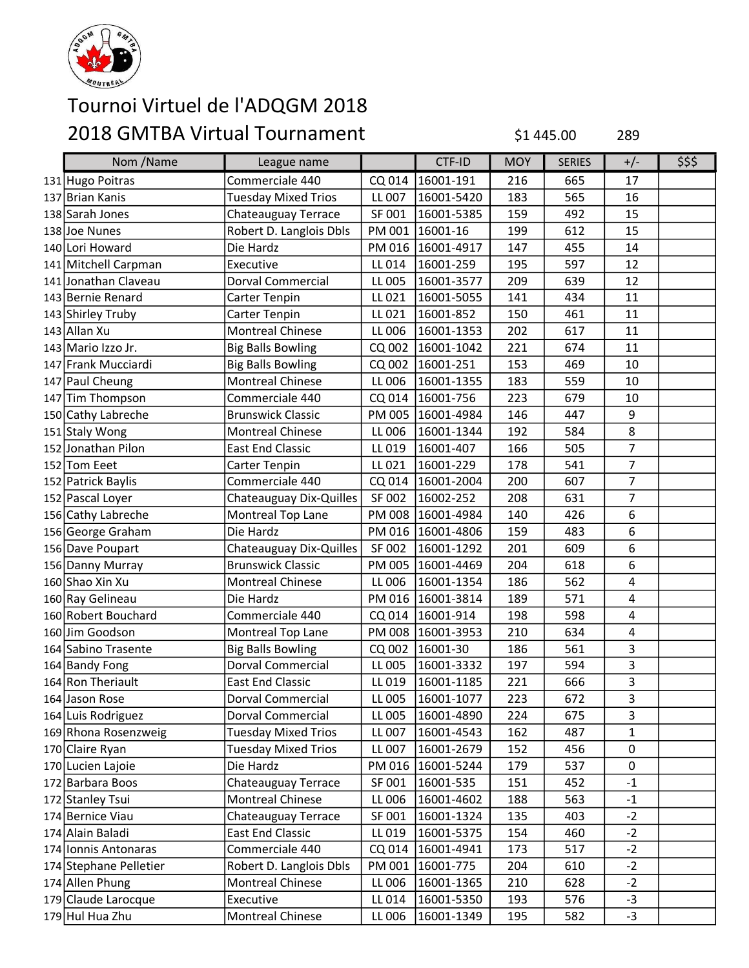

| Nom /Name              | League name                |               | CTF-ID            | <b>MOY</b> | <b>SERIES</b> | $+/-$          | \$\$\$ |
|------------------------|----------------------------|---------------|-------------------|------------|---------------|----------------|--------|
| 131 Hugo Poitras       | Commerciale 440            | CQ 014        | 16001-191         | 216        | 665           | 17             |        |
| 137 Brian Kanis        | <b>Tuesday Mixed Trios</b> | LL 007        | 16001-5420        | 183        | 565           | 16             |        |
| 138 Sarah Jones        | Chateauguay Terrace        | SF 001        | 16001-5385        | 159        | 492           | 15             |        |
| 138 Joe Nunes          | Robert D. Langlois Dbls    | PM 001        | 16001-16          | 199        | 612           | 15             |        |
| 140 Lori Howard        | Die Hardz                  |               | PM 016 16001-4917 | 147        | 455           | 14             |        |
| 141 Mitchell Carpman   | Executive                  | LL 014        | 16001-259         | 195        | 597           | 12             |        |
| 141 Jonathan Claveau   | Dorval Commercial          | LL 005        | 16001-3577        | 209        | 639           | 12             |        |
| 143 Bernie Renard      | Carter Tenpin              | LL 021        | 16001-5055        | 141        | 434           | 11             |        |
| 143 Shirley Truby      | Carter Tenpin              | LL 021        | 16001-852         | 150        | 461           | 11             |        |
| 143 Allan Xu           | <b>Montreal Chinese</b>    | LL 006        | 16001-1353        | 202        | 617           | 11             |        |
| 143 Mario Izzo Jr.     | <b>Big Balls Bowling</b>   | CQ 002        | 16001-1042        | 221        | 674           | 11             |        |
| 147 Frank Mucciardi    | <b>Big Balls Bowling</b>   | CQ 002        | 16001-251         | 153        | 469           | 10             |        |
| 147 Paul Cheung        | <b>Montreal Chinese</b>    | LL 006        | 16001-1355        | 183        | 559           | 10             |        |
| 147 Tim Thompson       | Commerciale 440            | CQ 014        | 16001-756         | 223        | 679           | 10             |        |
| 150 Cathy Labreche     | <b>Brunswick Classic</b>   | PM 005        | 16001-4984        | 146        | 447           | 9              |        |
| 151 Staly Wong         | <b>Montreal Chinese</b>    | LL 006        | 16001-1344        | 192        | 584           | 8              |        |
| 152 Jonathan Pilon     | <b>East End Classic</b>    | LL 019        | 16001-407         | 166        | 505           | $\overline{7}$ |        |
| 152 Tom Eeet           | Carter Tenpin              | LL 021        | 16001-229         | 178        | 541           | $\overline{7}$ |        |
| 152 Patrick Baylis     | Commerciale 440            | CQ 014        | 16001-2004        | 200        | 607           | $\overline{7}$ |        |
| 152 Pascal Loyer       | Chateauguay Dix-Quilles    | SF 002        | 16002-252         | 208        | 631           | $\overline{7}$ |        |
| 156 Cathy Labreche     | Montreal Top Lane          | <b>PM 008</b> | 16001-4984        | 140        | 426           | 6              |        |
| 156 George Graham      | Die Hardz                  | PM 016        | 16001-4806        | 159        | 483           | 6              |        |
| 156 Dave Poupart       | Chateauguay Dix-Quilles    | SF 002        | 16001-1292        | 201        | 609           | 6              |        |
| 156 Danny Murray       | <b>Brunswick Classic</b>   | PM 005        | 16001-4469        | 204        | 618           | 6              |        |
| 160 Shao Xin Xu        | <b>Montreal Chinese</b>    | LL 006        | 16001-1354        | 186        | 562           | 4              |        |
| 160 Ray Gelineau       | Die Hardz                  | PM 016        | 16001-3814        | 189        | 571           | 4              |        |
| 160 Robert Bouchard    | Commerciale 440            | CQ 014        | 16001-914         | 198        | 598           | $\overline{4}$ |        |
| 160 Jim Goodson        | Montreal Top Lane          | <b>PM 008</b> | 16001-3953        | 210        | 634           | 4              |        |
| 164 Sabino Trasente    | <b>Big Balls Bowling</b>   | CQ 002        | 16001-30          | 186        | 561           | 3              |        |
| 164 Bandy Fong         | <b>Dorval Commercial</b>   | LL 005        | 16001-3332        | 197        | 594           | 3              |        |
| 164 Ron Theriault      | <b>East End Classic</b>    | LL 019        | 16001-1185        | 221        | 666           | 3              |        |
| 164 Jason Rose         | Dorval Commercial          | LL 005        | 16001-1077        | 223        | 672           | 3              |        |
| 164 Luis Rodriguez     | Dorval Commercial          | LL 005        | 16001-4890        | 224        | 675           | 3              |        |
| 169 Rhona Rosenzweig   | <b>Tuesday Mixed Trios</b> | LL 007        | 16001-4543        | 162        | 487           | $\mathbf{1}$   |        |
| 170 Claire Ryan        | <b>Tuesday Mixed Trios</b> | LL 007        | 16001-2679        | 152        | 456           | 0              |        |
| 170 Lucien Lajoie      | Die Hardz                  | PM 016        | 16001-5244        | 179        | 537           | $\pmb{0}$      |        |
| 172 Barbara Boos       | Chateauguay Terrace        | SF 001        | 16001-535         | 151        | 452           | $-1$           |        |
| 172 Stanley Tsui       | <b>Montreal Chinese</b>    | LL 006        | 16001-4602        | 188        | 563           | $-1$           |        |
| 174 Bernice Viau       | Chateauguay Terrace        | SF 001        | 16001-1324        | 135        | 403           | $-2$           |        |
| 174 Alain Baladi       | <b>East End Classic</b>    | LL 019        | 16001-5375        | 154        | 460           | $-2$           |        |
| 174 Ionnis Antonaras   | Commerciale 440            | CQ 014        | 16001-4941        | 173        | 517           | $-2$           |        |
| 174 Stephane Pelletier | Robert D. Langlois Dbls    | PM 001        | 16001-775         | 204        | 610           | $-2$           |        |
| 174 Allen Phung        | Montreal Chinese           | LL 006        | 16001-1365        | 210        | 628           | $-2$           |        |
| 179 Claude Larocque    | Executive                  | LL 014        | 16001-5350        | 193        | 576           | $-3$           |        |
| 179 Hul Hua Zhu        | <b>Montreal Chinese</b>    | LL 006        | 16001-1349        | 195        | 582           | $-3$           |        |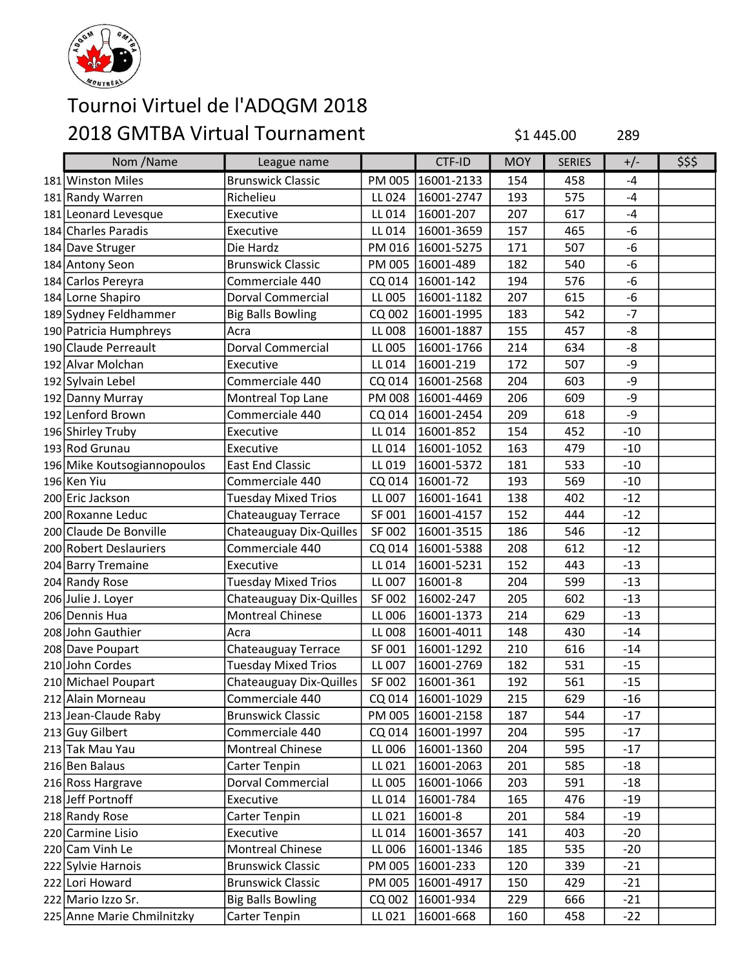

| Nom /Name                   | League name                |        | CTF-ID              | <b>MOY</b> | <b>SERIES</b> | $+/-$ | \$\$\$ |
|-----------------------------|----------------------------|--------|---------------------|------------|---------------|-------|--------|
| 181 Winston Miles           | <b>Brunswick Classic</b>   | PM 005 | 16001-2133          | 154        | 458           | -4    |        |
| 181 Randy Warren            | Richelieu                  | LL 024 | 16001-2747          | 193        | 575           | $-4$  |        |
| 181 Leonard Levesque        | Executive                  | LL 014 | 16001-207           | 207        | 617           | $-4$  |        |
| 184 Charles Paradis         | Executive                  | LL 014 | 16001-3659          | 157        | 465           | $-6$  |        |
| 184 Dave Struger            | Die Hardz                  |        | PM 016 16001-5275   | 171        | 507           | $-6$  |        |
| 184 Antony Seon             | <b>Brunswick Classic</b>   | PM 005 | 16001-489           | 182        | 540           | $-6$  |        |
| 184 Carlos Pereyra          | Commerciale 440            | CQ 014 | 16001-142           | 194        | 576           | $-6$  |        |
| 184 Lorne Shapiro           | <b>Dorval Commercial</b>   | LL 005 | 16001-1182          | 207        | 615           | $-6$  |        |
| 189 Sydney Feldhammer       | <b>Big Balls Bowling</b>   | CQ 002 | 16001-1995          | 183        | 542           | $-7$  |        |
| 190 Patricia Humphreys      | Acra                       | LL 008 | 16001-1887          | 155        | 457           | -8    |        |
| 190 Claude Perreault        | Dorval Commercial          | LL 005 | 16001-1766          | 214        | 634           | -8    |        |
| 192 Alvar Molchan           | Executive                  | LL 014 | 16001-219           | 172        | 507           | -9    |        |
| 192 Sylvain Lebel           | Commerciale 440            | CQ 014 | 16001-2568          | 204        | 603           | -9    |        |
| 192 Danny Murray            | Montreal Top Lane          | PM 008 | 16001-4469          | 206        | 609           | -9    |        |
| 192 Lenford Brown           | Commerciale 440            | CQ 014 | 16001-2454          | 209        | 618           | -9    |        |
| 196 Shirley Truby           | Executive                  | LL 014 | 16001-852           | 154        | 452           | $-10$ |        |
| 193 Rod Grunau              | Executive                  | LL 014 | 16001-1052          | 163        | 479           | $-10$ |        |
| 196 Mike Koutsogiannopoulos | <b>East End Classic</b>    | LL 019 | 16001-5372          | 181        | 533           | $-10$ |        |
| 196 Ken Yiu                 | Commerciale 440            |        | CQ 014 16001-72     | 193        | 569           | $-10$ |        |
| 200 Eric Jackson            | <b>Tuesday Mixed Trios</b> | LL 007 | 16001-1641          | 138        | 402           | $-12$ |        |
| 200 Roxanne Leduc           | Chateauguay Terrace        | SF 001 | 16001-4157          | 152        | 444           | $-12$ |        |
| 200 Claude De Bonville      | Chateauguay Dix-Quilles    | SF 002 | 16001-3515          | 186        | 546           | $-12$ |        |
| 200 Robert Deslauriers      | Commerciale 440            | CQ 014 | 16001-5388          | 208        | 612           | $-12$ |        |
| 204 Barry Tremaine          | Executive                  | LL 014 | 16001-5231          | 152        | 443           | $-13$ |        |
| 204 Randy Rose              | <b>Tuesday Mixed Trios</b> | LL 007 | 16001-8             | 204        | 599           | $-13$ |        |
| 206 Julie J. Loyer          | Chateauguay Dix-Quilles    | SF 002 | 16002-247           | 205        | 602           | $-13$ |        |
| 206 Dennis Hua              | <b>Montreal Chinese</b>    | LL 006 | 16001-1373          | 214        | 629           | $-13$ |        |
| 208 John Gauthier           | Acra                       | LL 008 | 16001-4011          | 148        | 430           | $-14$ |        |
| 208 Dave Poupart            | Chateauguay Terrace        | SF 001 | 16001-1292          | 210        | 616           | $-14$ |        |
| 210 John Cordes             | <b>Tuesday Mixed Trios</b> | LL 007 | 16001-2769          | 182        | 531           | $-15$ |        |
| 210 Michael Poupart         | Chateauguay Dix-Quilles    | SF 002 | 16001-361           | 192        | 561           | $-15$ |        |
| 212 Alain Morneau           | Commerciale 440            |        | CQ 014   16001-1029 | 215        | 629           | $-16$ |        |
| 213 Jean-Claude Raby        | <b>Brunswick Classic</b>   |        | PM 005   16001-2158 | 187        | 544           | $-17$ |        |
| 213 Guy Gilbert             | Commerciale 440            |        | CQ 014   16001-1997 | 204        | 595           | $-17$ |        |
| 213 Tak Mau Yau             | <b>Montreal Chinese</b>    | LL 006 | 16001-1360          | 204        | 595           | $-17$ |        |
| 216 Ben Balaus              | Carter Tenpin              | LL 021 | 16001-2063          | 201        | 585           | $-18$ |        |
| 216 Ross Hargrave           | Dorval Commercial          | LL 005 | 16001-1066          | 203        | 591           | $-18$ |        |
| 218 Jeff Portnoff           | Executive                  | LL 014 | 16001-784           | 165        | 476           | $-19$ |        |
| 218 Randy Rose              | Carter Tenpin              | LL 021 | 16001-8             | 201        | 584           | $-19$ |        |
| 220 Carmine Lisio           | Executive                  | LL 014 | 16001-3657          | 141        | 403           | $-20$ |        |
| 220 Cam Vinh Le             | <b>Montreal Chinese</b>    | LL 006 | 16001-1346          | 185        | 535           | $-20$ |        |
| 222 Sylvie Harnois          | <b>Brunswick Classic</b>   | PM 005 | 16001-233           | 120        | 339           | $-21$ |        |
| 222 Lori Howard             | <b>Brunswick Classic</b>   |        | PM 005   16001-4917 | 150        | 429           | $-21$ |        |
| 222 Mario Izzo Sr.          | <b>Big Balls Bowling</b>   |        | CQ 002   16001-934  | 229        | 666           | $-21$ |        |
| 225 Anne Marie Chmilnitzky  | Carter Tenpin              |        | LL 021   16001-668  | 160        | 458           | $-22$ |        |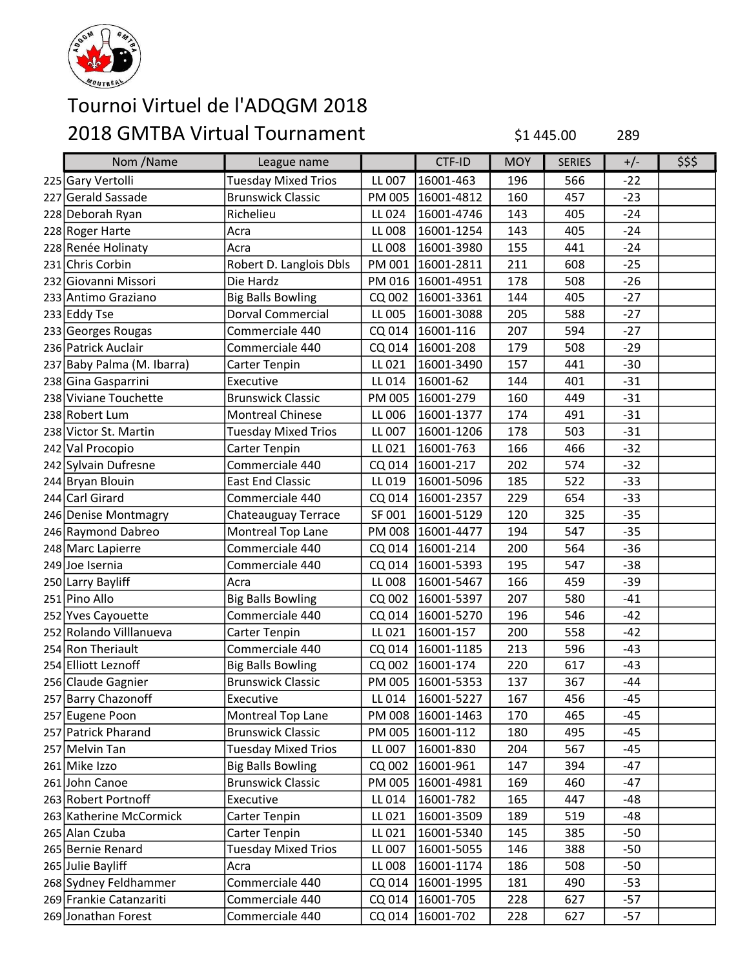

| Nom /Name                  | League name                |        | CTF-ID              | <b>MOY</b> | <b>SERIES</b> | $+/-$ | \$\$\$ |
|----------------------------|----------------------------|--------|---------------------|------------|---------------|-------|--------|
| 225 Gary Vertolli          | <b>Tuesday Mixed Trios</b> | LL 007 | 16001-463           | 196        | 566           | $-22$ |        |
| 227 Gerald Sassade         | <b>Brunswick Classic</b>   | PM 005 | 16001-4812          | 160        | 457           | $-23$ |        |
| 228 Deborah Ryan           | Richelieu                  | LL 024 | 16001-4746          | 143        | 405           | $-24$ |        |
| 228 Roger Harte            | Acra                       | LL 008 | 16001-1254          | 143        | 405           | $-24$ |        |
| 228 Renée Holinaty         | Acra                       | LL 008 | 16001-3980          | 155        | 441           | $-24$ |        |
| 231 Chris Corbin           | Robert D. Langlois Dbls    | PM 001 | 16001-2811          | 211        | 608           | $-25$ |        |
| 232 Giovanni Missori       | Die Hardz                  | PM 016 | 16001-4951          | 178        | 508           | $-26$ |        |
| 233 Antimo Graziano        | <b>Big Balls Bowling</b>   | CQ 002 | 16001-3361          | 144        | 405           | $-27$ |        |
| 233 Eddy Tse               | <b>Dorval Commercial</b>   | LL 005 | 16001-3088          | 205        | 588           | $-27$ |        |
| 233 Georges Rougas         | Commerciale 440            | CQ 014 | 16001-116           | 207        | 594           | $-27$ |        |
| 236 Patrick Auclair        | Commerciale 440            |        | CQ 014 16001-208    | 179        | 508           | $-29$ |        |
| 237 Baby Palma (M. Ibarra) | Carter Tenpin              | LL 021 | 16001-3490          | 157        | 441           | $-30$ |        |
| 238 Gina Gasparrini        | Executive                  | LL 014 | 16001-62            | 144        | 401           | $-31$ |        |
| 238 Viviane Touchette      | <b>Brunswick Classic</b>   | PM 005 | 16001-279           | 160        | 449           | $-31$ |        |
| 238 Robert Lum             | <b>Montreal Chinese</b>    | LL 006 | 16001-1377          | 174        | 491           | $-31$ |        |
| 238 Victor St. Martin      | <b>Tuesday Mixed Trios</b> | LL 007 | 16001-1206          | 178        | 503           | $-31$ |        |
| 242 Val Procopio           | Carter Tenpin              | LL 021 | 16001-763           | 166        | 466           | $-32$ |        |
| 242 Sylvain Dufresne       | Commerciale 440            |        | CQ 014 16001-217    | 202        | 574           | $-32$ |        |
| 244 Bryan Blouin           | <b>East End Classic</b>    | LL 019 | 16001-5096          | 185        | 522           | $-33$ |        |
| 244 Carl Girard            | Commerciale 440            | CQ 014 | 16001-2357          | 229        | 654           | $-33$ |        |
| 246 Denise Montmagry       | Chateauguay Terrace        | SF 001 | 16001-5129          | 120        | 325           | $-35$ |        |
| 246 Raymond Dabreo         | Montreal Top Lane          |        | PM 008 16001-4477   | 194        | 547           | $-35$ |        |
| 248 Marc Lapierre          | Commerciale 440            | CQ 014 | 16001-214           | 200        | 564           | $-36$ |        |
| 249 Joe Isernia            | Commerciale 440            | CQ 014 | 16001-5393          | 195        | 547           | $-38$ |        |
| 250 Larry Bayliff          | Acra                       | LL 008 | 16001-5467          | 166        | 459           | $-39$ |        |
| 251 Pino Allo              | <b>Big Balls Bowling</b>   |        | CQ 002   16001-5397 | 207        | 580           | $-41$ |        |
| 252 Yves Cayouette         | Commerciale 440            |        | CQ 014 16001-5270   | 196        | 546           | $-42$ |        |
| 252 Rolando Villlanueva    | Carter Tenpin              | LL 021 | 16001-157           | 200        | 558           | -42   |        |
| 254 Ron Theriault          | Commerciale 440            | CQ 014 | 16001-1185          | 213        | 596           | $-43$ |        |
| 254 Elliott Leznoff        | <b>Big Balls Bowling</b>   |        | CQ 002 16001-174    | 220        | 617           | $-43$ |        |
| 256 Claude Gagnier         | <b>Brunswick Classic</b>   |        | PM 005 16001-5353   | 137        | 367           | $-44$ |        |
| 257 Barry Chazonoff        | Executive                  |        | LL 014   16001-5227 | 167        | 456           | $-45$ |        |
| 257 Eugene Poon            | Montreal Top Lane          |        | PM 008   16001-1463 | 170        | 465           | -45   |        |
| 257 Patrick Pharand        | <b>Brunswick Classic</b>   |        | PM 005   16001-112  | 180        | 495           | $-45$ |        |
| 257 Melvin Tan             | <b>Tuesday Mixed Trios</b> | LL 007 | 16001-830           | 204        | 567           | $-45$ |        |
| 261 Mike Izzo              | <b>Big Balls Bowling</b>   |        | CQ 002   16001-961  | 147        | 394           | -47   |        |
| 261 John Canoe             | <b>Brunswick Classic</b>   |        | PM 005   16001-4981 | 169        | 460           | -47   |        |
| 263 Robert Portnoff        | Executive                  | LL 014 | 16001-782           | 165        | 447           | -48   |        |
| 263 Katherine McCormick    | Carter Tenpin              | LL 021 | 16001-3509          | 189        | 519           | $-48$ |        |
| 265 Alan Czuba             | Carter Tenpin              | LL 021 | 16001-5340          | 145        | 385           | $-50$ |        |
| 265 Bernie Renard          | <b>Tuesday Mixed Trios</b> | LL 007 | 16001-5055          | 146        | 388           | $-50$ |        |
| 265 Julie Bayliff          | Acra                       | LL 008 | 16001-1174          | 186        | 508           | $-50$ |        |
| 268 Sydney Feldhammer      | Commerciale 440            |        | CQ 014   16001-1995 | 181        | 490           | $-53$ |        |
| 269 Frankie Catanzariti    | Commerciale 440            |        | CQ 014   16001-705  | 228        | 627           | $-57$ |        |
| 269 Jonathan Forest        | Commerciale 440            |        | CQ 014 16001-702    | 228        | 627           | $-57$ |        |